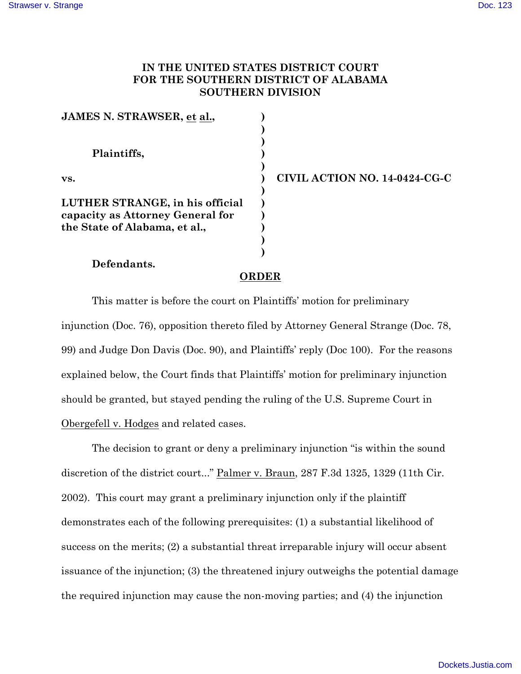## **IN THE UNITED STATES DISTRICT COURT FOR THE SOUTHERN DISTRICT OF ALABAMA SOUTHERN DIVISION**

| JAMES N. STRAWSER, et al.,       |  |
|----------------------------------|--|
|                                  |  |
|                                  |  |
| Plaintiffs,                      |  |
|                                  |  |
| VS.                              |  |
|                                  |  |
| LUTHER STRANGE, in his official  |  |
| capacity as Attorney General for |  |
| the State of Alabama, et al.,    |  |
|                                  |  |
|                                  |  |

**vs. ) CIVIL ACTION NO. 14-0424-CG-C**

## **Defendants.**

## **ORDER**

This matter is before the court on Plaintiffs' motion for preliminary injunction (Doc. 76), opposition thereto filed by Attorney General Strange (Doc. 78, 99) and Judge Don Davis (Doc. 90), and Plaintiffs' reply (Doc 100). For the reasons explained below, the Court finds that Plaintiffs' motion for preliminary injunction should be granted, but stayed pending the ruling of the U.S. Supreme Court in Obergefell v. Hodges and related cases.

The decision to grant or deny a preliminary injunction "is within the sound discretion of the district court..." Palmer v. Braun, 287 F.3d 1325, 1329 (11th Cir. 2002). This court may grant a preliminary injunction only if the plaintiff demonstrates each of the following prerequisites: (1) a substantial likelihood of success on the merits; (2) a substantial threat irreparable injury will occur absent issuance of the injunction; (3) the threatened injury outweighs the potential damage the required injunction may cause the non-moving parties; and (4) the injunction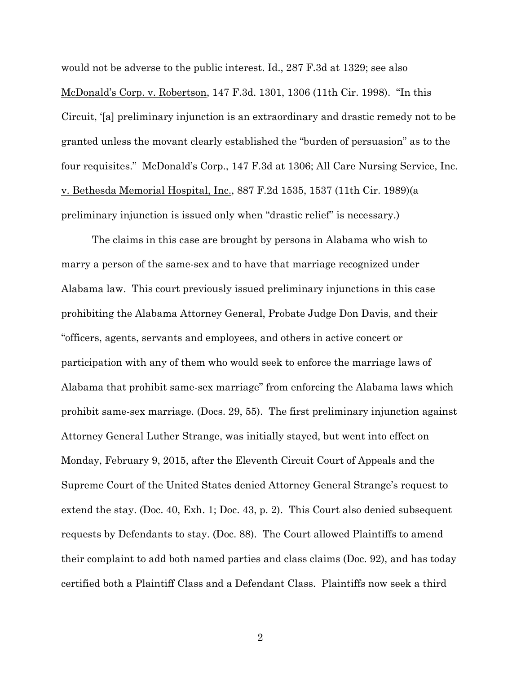would not be adverse to the public interest. Id., 287 F.3d at 1329; see also McDonald's Corp. v. Robertson, 147 F.3d. 1301, 1306 (11th Cir. 1998). "In this Circuit, '[a] preliminary injunction is an extraordinary and drastic remedy not to be granted unless the movant clearly established the "burden of persuasion" as to the four requisites." McDonald's Corp., 147 F.3d at 1306; All Care Nursing Service, Inc. v. Bethesda Memorial Hospital, Inc., 887 F.2d 1535, 1537 (11th Cir. 1989)(a preliminary injunction is issued only when "drastic relief" is necessary.)

The claims in this case are brought by persons in Alabama who wish to marry a person of the same-sex and to have that marriage recognized under Alabama law. This court previously issued preliminary injunctions in this case prohibiting the Alabama Attorney General, Probate Judge Don Davis, and their "officers, agents, servants and employees, and others in active concert or participation with any of them who would seek to enforce the marriage laws of Alabama that prohibit same-sex marriage" from enforcing the Alabama laws which prohibit same-sex marriage. (Docs. 29, 55). The first preliminary injunction against Attorney General Luther Strange, was initially stayed, but went into effect on Monday, February 9, 2015, after the Eleventh Circuit Court of Appeals and the Supreme Court of the United States denied Attorney General Strange's request to extend the stay. (Doc. 40, Exh. 1; Doc. 43, p. 2). This Court also denied subsequent requests by Defendants to stay. (Doc. 88). The Court allowed Plaintiffs to amend their complaint to add both named parties and class claims (Doc. 92), and has today certified both a Plaintiff Class and a Defendant Class. Plaintiffs now seek a third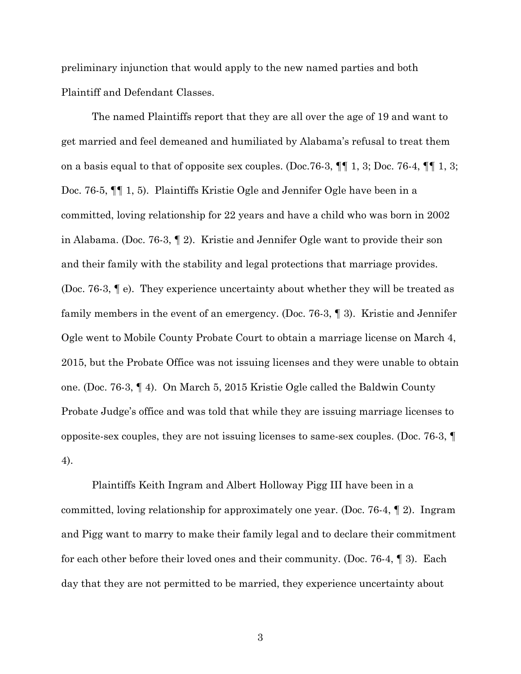preliminary injunction that would apply to the new named parties and both Plaintiff and Defendant Classes.

The named Plaintiffs report that they are all over the age of 19 and want to get married and feel demeaned and humiliated by Alabama's refusal to treat them on a basis equal to that of opposite sex couples. (Doc.76-3,  $\P\P$  1, 3; Doc. 76-4,  $\P\P$  1, 3; Doc. 76-5, ¶¶ 1, 5). Plaintiffs Kristie Ogle and Jennifer Ogle have been in a committed, loving relationship for 22 years and have a child who was born in 2002 in Alabama. (Doc. 76-3, ¶ 2). Kristie and Jennifer Ogle want to provide their son and their family with the stability and legal protections that marriage provides. (Doc. 76-3, ¶ e). They experience uncertainty about whether they will be treated as family members in the event of an emergency. (Doc. 76-3, ¶ 3). Kristie and Jennifer Ogle went to Mobile County Probate Court to obtain a marriage license on March 4, 2015, but the Probate Office was not issuing licenses and they were unable to obtain one. (Doc. 76-3, ¶ 4). On March 5, 2015 Kristie Ogle called the Baldwin County Probate Judge's office and was told that while they are issuing marriage licenses to opposite-sex couples, they are not issuing licenses to same-sex couples. (Doc. 76-3, ¶ 4).

Plaintiffs Keith Ingram and Albert Holloway Pigg III have been in a committed, loving relationship for approximately one year. (Doc. 76-4, ¶ 2). Ingram and Pigg want to marry to make their family legal and to declare their commitment for each other before their loved ones and their community. (Doc. 76-4, ¶ 3). Each day that they are not permitted to be married, they experience uncertainty about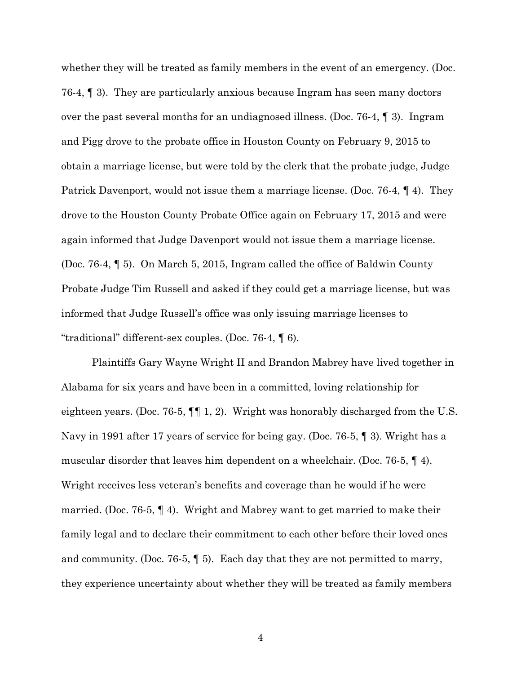whether they will be treated as family members in the event of an emergency. (Doc. 76-4, ¶ 3). They are particularly anxious because Ingram has seen many doctors over the past several months for an undiagnosed illness. (Doc. 76-4, ¶ 3). Ingram and Pigg drove to the probate office in Houston County on February 9, 2015 to obtain a marriage license, but were told by the clerk that the probate judge, Judge Patrick Davenport, would not issue them a marriage license. (Doc. 76-4, ¶ 4). They drove to the Houston County Probate Office again on February 17, 2015 and were again informed that Judge Davenport would not issue them a marriage license. (Doc. 76-4, ¶ 5). On March 5, 2015, Ingram called the office of Baldwin County Probate Judge Tim Russell and asked if they could get a marriage license, but was informed that Judge Russell's office was only issuing marriage licenses to "traditional" different-sex couples. (Doc. 76-4, ¶ 6).

Plaintiffs Gary Wayne Wright II and Brandon Mabrey have lived together in Alabama for six years and have been in a committed, loving relationship for eighteen years. (Doc. 76-5, ¶¶ 1, 2). Wright was honorably discharged from the U.S. Navy in 1991 after 17 years of service for being gay. (Doc. 76-5, ¶ 3). Wright has a muscular disorder that leaves him dependent on a wheelchair. (Doc. 76-5, ¶ 4). Wright receives less veteran's benefits and coverage than he would if he were married. (Doc. 76-5, ¶ 4). Wright and Mabrey want to get married to make their family legal and to declare their commitment to each other before their loved ones and community. (Doc. 76-5, ¶ 5). Each day that they are not permitted to marry, they experience uncertainty about whether they will be treated as family members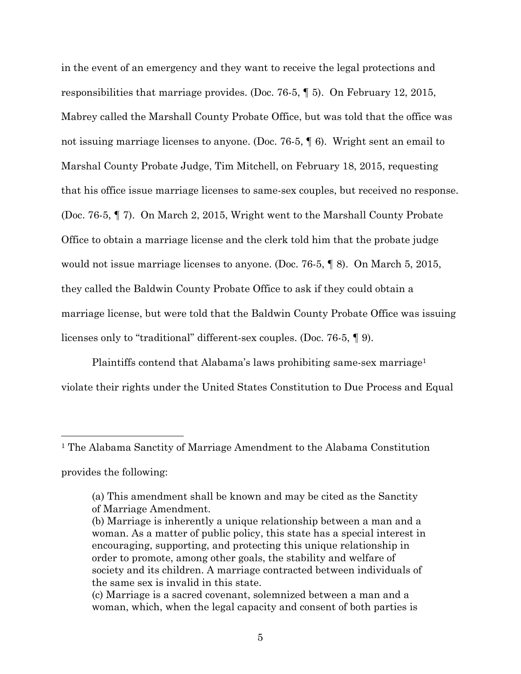in the event of an emergency and they want to receive the legal protections and responsibilities that marriage provides. (Doc. 76-5, ¶ 5). On February 12, 2015, Mabrey called the Marshall County Probate Office, but was told that the office was not issuing marriage licenses to anyone. (Doc. 76-5, ¶ 6). Wright sent an email to Marshal County Probate Judge, Tim Mitchell, on February 18, 2015, requesting that his office issue marriage licenses to same-sex couples, but received no response. (Doc. 76-5, ¶ 7). On March 2, 2015, Wright went to the Marshall County Probate Office to obtain a marriage license and the clerk told him that the probate judge would not issue marriage licenses to anyone. (Doc. 76-5, ¶ 8). On March 5, 2015, they called the Baldwin County Probate Office to ask if they could obtain a marriage license, but were told that the Baldwin County Probate Office was issuing licenses only to "traditional" different-sex couples. (Doc. 76-5, ¶ 9).

Plaintiffs contend that Alabama's laws prohibiting same-sex marriage<sup>1</sup> violate their rights under the United States Constitution to Due Process and Equal

 1 The Alabama Sanctity of Marriage Amendment to the Alabama Constitution provides the following:

<sup>(</sup>a) This amendment shall be known and may be cited as the Sanctity of Marriage Amendment.

<sup>(</sup>b) Marriage is inherently a unique relationship between a man and a woman. As a matter of public policy, this state has a special interest in encouraging, supporting, and protecting this unique relationship in order to promote, among other goals, the stability and welfare of society and its children. A marriage contracted between individuals of the same sex is invalid in this state.

<sup>(</sup>c) Marriage is a sacred covenant, solemnized between a man and a woman, which, when the legal capacity and consent of both parties is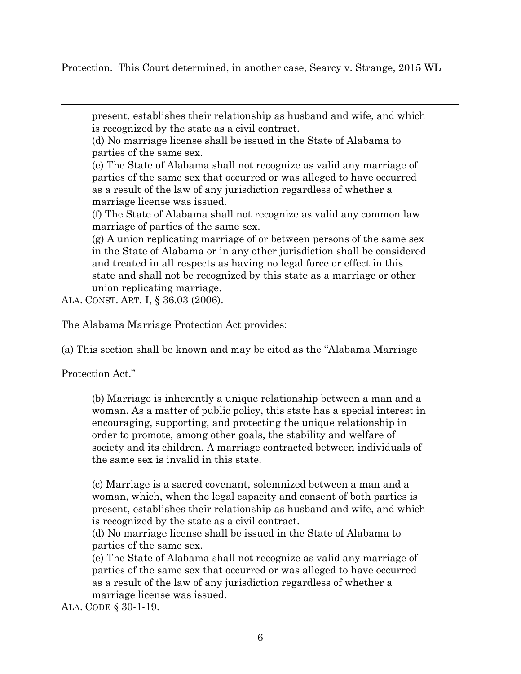Protection. This Court determined, in another case, Searcy v. Strange, 2015 WL

present, establishes their relationship as husband and wife, and which is recognized by the state as a civil contract.

(d) No marriage license shall be issued in the State of Alabama to parties of the same sex.

(e) The State of Alabama shall not recognize as valid any marriage of parties of the same sex that occurred or was alleged to have occurred as a result of the law of any jurisdiction regardless of whether a marriage license was issued.

(f) The State of Alabama shall not recognize as valid any common law marriage of parties of the same sex.

(g) A union replicating marriage of or between persons of the same sex in the State of Alabama or in any other jurisdiction shall be considered and treated in all respects as having no legal force or effect in this state and shall not be recognized by this state as a marriage or other union replicating marriage.

ALA. CONST. ART. I, § 36.03 (2006).

The Alabama Marriage Protection Act provides:

(a) This section shall be known and may be cited as the "Alabama Marriage

Protection Act."

 $\overline{a}$ 

(b) Marriage is inherently a unique relationship between a man and a woman. As a matter of public policy, this state has a special interest in encouraging, supporting, and protecting the unique relationship in order to promote, among other goals, the stability and welfare of society and its children. A marriage contracted between individuals of the same sex is invalid in this state.

(c) Marriage is a sacred covenant, solemnized between a man and a woman, which, when the legal capacity and consent of both parties is present, establishes their relationship as husband and wife, and which is recognized by the state as a civil contract.

(d) No marriage license shall be issued in the State of Alabama to parties of the same sex.

(e) The State of Alabama shall not recognize as valid any marriage of parties of the same sex that occurred or was alleged to have occurred as a result of the law of any jurisdiction regardless of whether a marriage license was issued.

ALA. CODE § 30-1-19.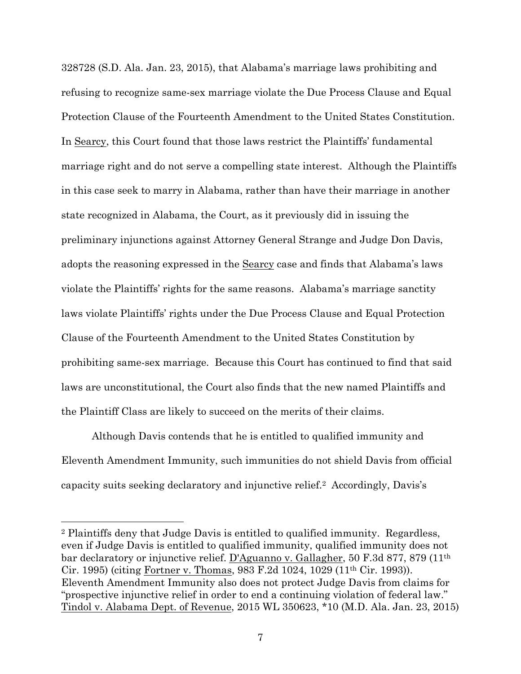328728 (S.D. Ala. Jan. 23, 2015), that Alabama's marriage laws prohibiting and refusing to recognize same-sex marriage violate the Due Process Clause and Equal Protection Clause of the Fourteenth Amendment to the United States Constitution. In Searcy, this Court found that those laws restrict the Plaintiffs' fundamental marriage right and do not serve a compelling state interest. Although the Plaintiffs in this case seek to marry in Alabama, rather than have their marriage in another state recognized in Alabama, the Court, as it previously did in issuing the preliminary injunctions against Attorney General Strange and Judge Don Davis, adopts the reasoning expressed in the Searcy case and finds that Alabama's laws violate the Plaintiffs' rights for the same reasons. Alabama's marriage sanctity laws violate Plaintiffs' rights under the Due Process Clause and Equal Protection Clause of the Fourteenth Amendment to the United States Constitution by prohibiting same-sex marriage. Because this Court has continued to find that said laws are unconstitutional, the Court also finds that the new named Plaintiffs and the Plaintiff Class are likely to succeed on the merits of their claims.

Although Davis contends that he is entitled to qualified immunity and Eleventh Amendment Immunity, such immunities do not shield Davis from official capacity suits seeking declaratory and injunctive relief.2 Accordingly, Davis's

 <sup>2</sup> Plaintiffs deny that Judge Davis is entitled to qualified immunity. Regardless, even if Judge Davis is entitled to qualified immunity, qualified immunity does not bar declaratory or injunctive relief. D'Aguanno v. Gallagher, 50 F.3d 877, 879 (11th Cir. 1995) (citing Fortner v. Thomas, 983 F.2d 1024, 1029 (11th Cir. 1993)). Eleventh Amendment Immunity also does not protect Judge Davis from claims for "prospective injunctive relief in order to end a continuing violation of federal law." Tindol v. Alabama Dept. of Revenue, 2015 WL 350623, \*10 (M.D. Ala. Jan. 23, 2015)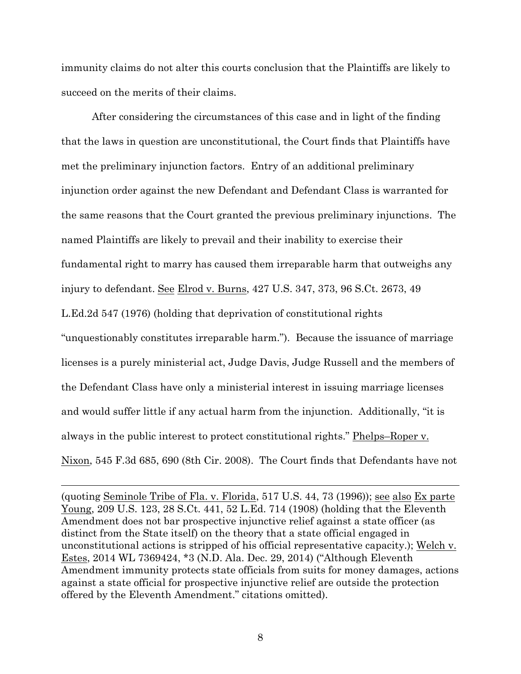immunity claims do not alter this courts conclusion that the Plaintiffs are likely to succeed on the merits of their claims.

After considering the circumstances of this case and in light of the finding that the laws in question are unconstitutional, the Court finds that Plaintiffs have met the preliminary injunction factors. Entry of an additional preliminary injunction order against the new Defendant and Defendant Class is warranted for the same reasons that the Court granted the previous preliminary injunctions. The named Plaintiffs are likely to prevail and their inability to exercise their fundamental right to marry has caused them irreparable harm that outweighs any injury to defendant. See Elrod v. Burns, 427 U.S. 347, 373, 96 S.Ct. 2673, 49 L.Ed.2d 547 (1976) (holding that deprivation of constitutional rights "unquestionably constitutes irreparable harm."). Because the issuance of marriage licenses is a purely ministerial act, Judge Davis, Judge Russell and the members of the Defendant Class have only a ministerial interest in issuing marriage licenses and would suffer little if any actual harm from the injunction. Additionally, "it is always in the public interest to protect constitutional rights." Phelps–Roper v. Nixon, 545 F.3d 685, 690 (8th Cir. 2008). The Court finds that Defendants have not

(quoting Seminole Tribe of Fla. v. Florida, 517 U.S. 44, 73 (1996)); see also Ex parte Young, 209 U.S. 123, 28 S.Ct. 441, 52 L.Ed. 714 (1908) (holding that the Eleventh Amendment does not bar prospective injunctive relief against a state officer (as distinct from the State itself) on the theory that a state official engaged in unconstitutional actions is stripped of his official representative capacity.); Welch v. Estes, 2014 WL 7369424, \*3 (N.D. Ala. Dec. 29, 2014) ("Although Eleventh Amendment immunity protects state officials from suits for money damages, actions against a state official for prospective injunctive relief are outside the protection offered by the Eleventh Amendment." citations omitted).

 $\overline{a}$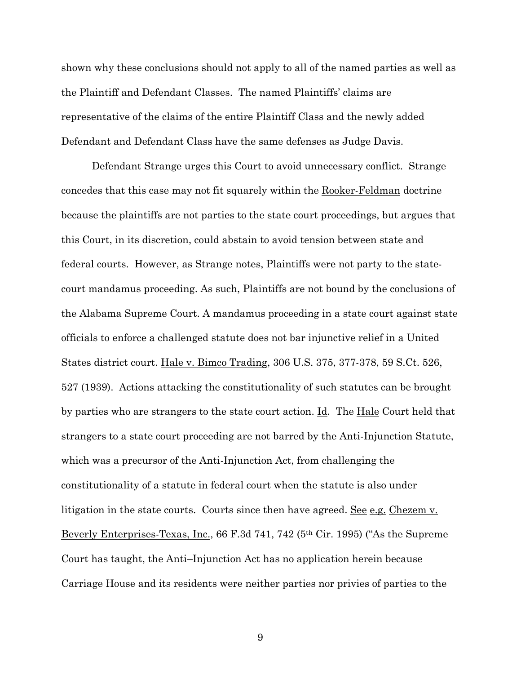shown why these conclusions should not apply to all of the named parties as well as the Plaintiff and Defendant Classes. The named Plaintiffs' claims are representative of the claims of the entire Plaintiff Class and the newly added Defendant and Defendant Class have the same defenses as Judge Davis.

Defendant Strange urges this Court to avoid unnecessary conflict. Strange concedes that this case may not fit squarely within the Rooker-Feldman doctrine because the plaintiffs are not parties to the state court proceedings, but argues that this Court, in its discretion, could abstain to avoid tension between state and federal courts. However, as Strange notes, Plaintiffs were not party to the statecourt mandamus proceeding. As such, Plaintiffs are not bound by the conclusions of the Alabama Supreme Court. A mandamus proceeding in a state court against state officials to enforce a challenged statute does not bar injunctive relief in a United States district court. Hale v. Bimco Trading, 306 U.S. 375, 377-378, 59 S.Ct. 526, 527 (1939). Actions attacking the constitutionality of such statutes can be brought by parties who are strangers to the state court action. Id. The Hale Court held that strangers to a state court proceeding are not barred by the Anti-Injunction Statute, which was a precursor of the Anti-Injunction Act, from challenging the constitutionality of a statute in federal court when the statute is also under litigation in the state courts. Courts since then have agreed. See e.g. Chezem v. Beverly Enterprises-Texas, Inc., 66 F.3d 741, 742 (5th Cir. 1995) ("As the Supreme Court has taught, the Anti–Injunction Act has no application herein because Carriage House and its residents were neither parties nor privies of parties to the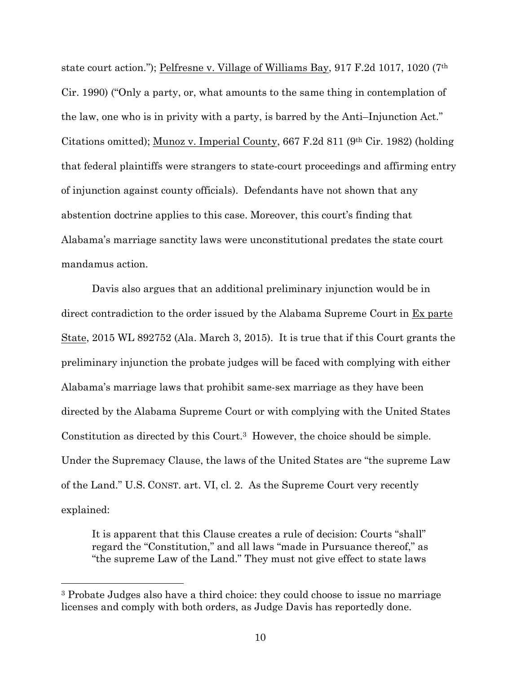state court action."); Pelfresne v. Village of Williams Bay, 917 F.2d 1017, 1020 (7th Cir. 1990) ("Only a party, or, what amounts to the same thing in contemplation of the law, one who is in privity with a party, is barred by the Anti–Injunction Act." Citations omitted); Munoz v. Imperial County, 667 F.2d 811 (9th Cir. 1982) (holding that federal plaintiffs were strangers to state-court proceedings and affirming entry of injunction against county officials). Defendants have not shown that any abstention doctrine applies to this case. Moreover, this court's finding that Alabama's marriage sanctity laws were unconstitutional predates the state court mandamus action.

Davis also argues that an additional preliminary injunction would be in direct contradiction to the order issued by the Alabama Supreme Court in Ex parte State, 2015 WL 892752 (Ala. March 3, 2015). It is true that if this Court grants the preliminary injunction the probate judges will be faced with complying with either Alabama's marriage laws that prohibit same-sex marriage as they have been directed by the Alabama Supreme Court or with complying with the United States Constitution as directed by this Court.3 However, the choice should be simple. Under the Supremacy Clause, the laws of the United States are "the supreme Law of the Land." U.S. CONST. art. VI, cl. 2. As the Supreme Court very recently explained:

It is apparent that this Clause creates a rule of decision: Courts "shall" regard the "Constitution," and all laws "made in Pursuance thereof," as "the supreme Law of the Land." They must not give effect to state laws

 <sup>3</sup> Probate Judges also have a third choice: they could choose to issue no marriage licenses and comply with both orders, as Judge Davis has reportedly done.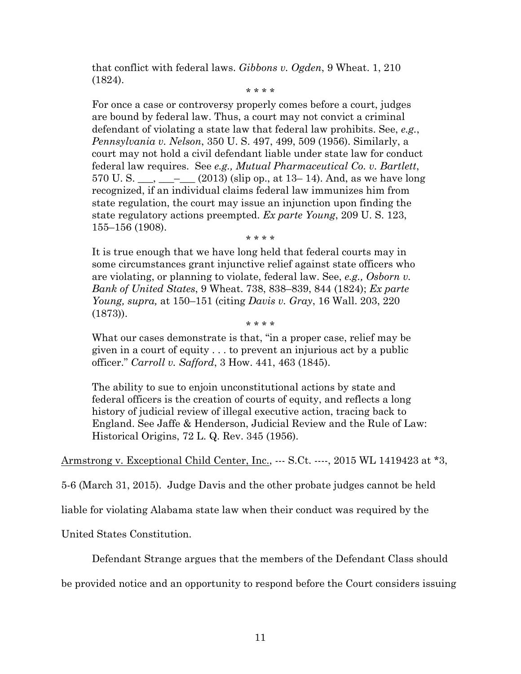that conflict with federal laws. *Gibbons v. Ogden*, 9 Wheat. 1, 210 (1824).

\* \* \* \*

For once a case or controversy properly comes before a court, judges are bound by federal law. Thus, a court may not convict a criminal defendant of violating a state law that federal law prohibits. See, *e.g.*, *Pennsylvania v. Nelson*, 350 U. S. 497, 499, 509 (1956). Similarly, a court may not hold a civil defendant liable under state law for conduct federal law requires. See *e.g., Mutual Pharmaceutical Co. v. Bartlett*, 570 U.S.  $\blacksquare$ ,  $\blacksquare$  (2013) (slip op., at 13–14). And, as we have long recognized, if an individual claims federal law immunizes him from state regulation, the court may issue an injunction upon finding the state regulatory actions preempted. *Ex parte Young*, 209 U. S. 123, 155–156 (1908).

\* \* \* \*

It is true enough that we have long held that federal courts may in some circumstances grant injunctive relief against state officers who are violating, or planning to violate, federal law. See, *e.g., Osborn v. Bank of United States*, 9 Wheat. 738, 838–839, 844 (1824); *Ex parte Young, supra,* at 150–151 (citing *Davis v. Gray*, 16 Wall. 203, 220 (1873)).

\* \* \* \*

What our cases demonstrate is that, "in a proper case, relief may be given in a court of equity . . . to prevent an injurious act by a public officer." *Carroll v. Safford*, 3 How. 441, 463 (1845).

The ability to sue to enjoin unconstitutional actions by state and federal officers is the creation of courts of equity, and reflects a long history of judicial review of illegal executive action, tracing back to England. See Jaffe & Henderson, Judicial Review and the Rule of Law: Historical Origins, 72 L. Q. Rev. 345 (1956).

Armstrong v. Exceptional Child Center, Inc., --- S.Ct. ----, 2015 WL 1419423 at \*3,

5-6 (March 31, 2015). Judge Davis and the other probate judges cannot be held

liable for violating Alabama state law when their conduct was required by the

United States Constitution.

Defendant Strange argues that the members of the Defendant Class should

be provided notice and an opportunity to respond before the Court considers issuing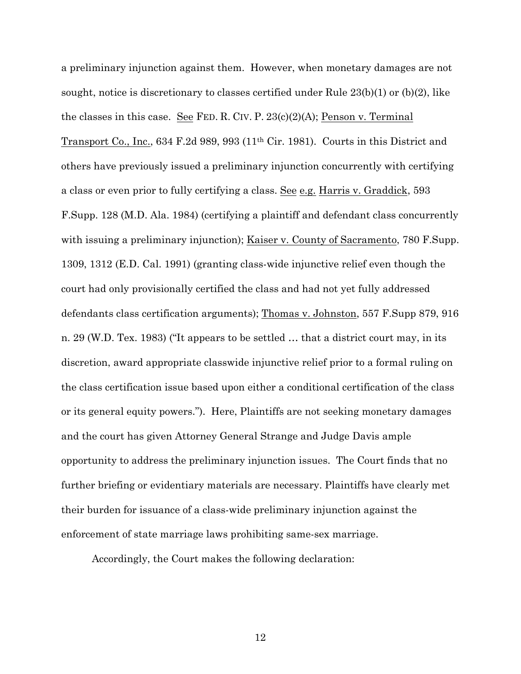a preliminary injunction against them. However, when monetary damages are not sought, notice is discretionary to classes certified under Rule 23(b)(1) or (b)(2), like the classes in this case. See FED. R. CIV. P.  $23(c)(2)(A)$ ; Penson v. Terminal Transport Co., Inc., 634 F.2d 989, 993 (11th Cir. 1981). Courts in this District and others have previously issued a preliminary injunction concurrently with certifying a class or even prior to fully certifying a class. See e.g. Harris v. Graddick, 593 F.Supp. 128 (M.D. Ala. 1984) (certifying a plaintiff and defendant class concurrently with issuing a preliminary injunction); Kaiser v. County of Sacramento, 780 F.Supp. 1309, 1312 (E.D. Cal. 1991) (granting class-wide injunctive relief even though the court had only provisionally certified the class and had not yet fully addressed defendants class certification arguments); Thomas v. Johnston, 557 F.Supp 879, 916 n. 29 (W.D. Tex. 1983) ("It appears to be settled … that a district court may, in its discretion, award appropriate classwide injunctive relief prior to a formal ruling on the class certification issue based upon either a conditional certification of the class or its general equity powers."). Here, Plaintiffs are not seeking monetary damages and the court has given Attorney General Strange and Judge Davis ample opportunity to address the preliminary injunction issues. The Court finds that no further briefing or evidentiary materials are necessary. Plaintiffs have clearly met their burden for issuance of a class-wide preliminary injunction against the enforcement of state marriage laws prohibiting same-sex marriage.

Accordingly, the Court makes the following declaration: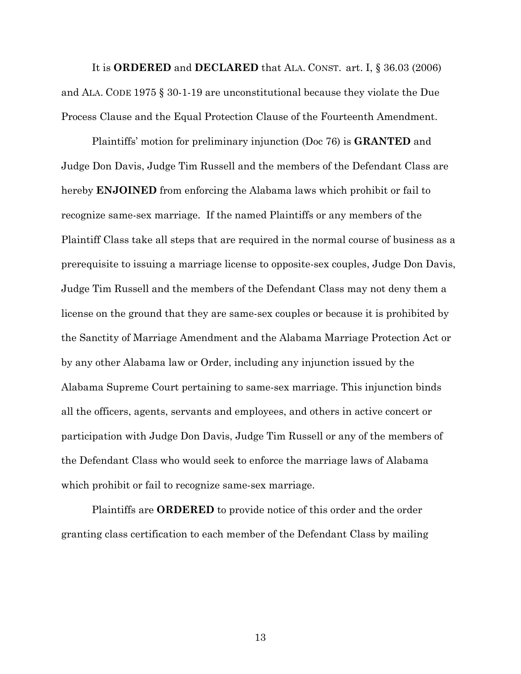It is **ORDERED** and **DECLARED** that ALA. CONST. art. I, § 36.03 (2006) and ALA. CODE 1975 § 30-1-19 are unconstitutional because they violate the Due Process Clause and the Equal Protection Clause of the Fourteenth Amendment.

Plaintiffs' motion for preliminary injunction (Doc 76) is **GRANTED** and Judge Don Davis, Judge Tim Russell and the members of the Defendant Class are hereby **ENJOINED** from enforcing the Alabama laws which prohibit or fail to recognize same-sex marriage. If the named Plaintiffs or any members of the Plaintiff Class take all steps that are required in the normal course of business as a prerequisite to issuing a marriage license to opposite-sex couples, Judge Don Davis, Judge Tim Russell and the members of the Defendant Class may not deny them a license on the ground that they are same-sex couples or because it is prohibited by the Sanctity of Marriage Amendment and the Alabama Marriage Protection Act or by any other Alabama law or Order, including any injunction issued by the Alabama Supreme Court pertaining to same-sex marriage. This injunction binds all the officers, agents, servants and employees, and others in active concert or participation with Judge Don Davis, Judge Tim Russell or any of the members of the Defendant Class who would seek to enforce the marriage laws of Alabama which prohibit or fail to recognize same-sex marriage.

Plaintiffs are **ORDERED** to provide notice of this order and the order granting class certification to each member of the Defendant Class by mailing